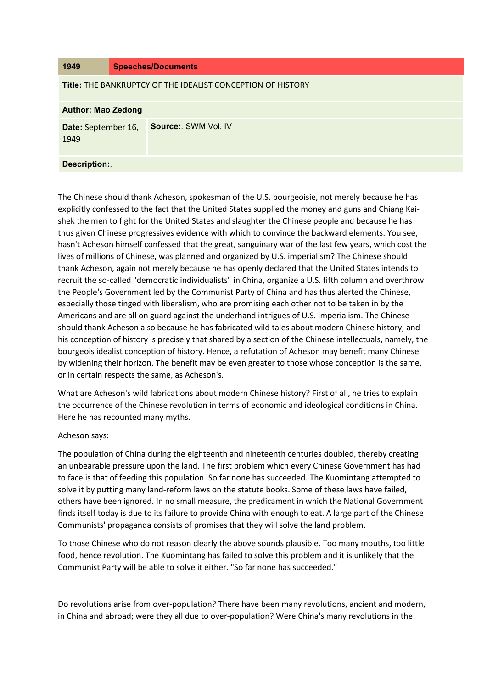| 1949                                                               | <b>Speeches/Documents</b>    |
|--------------------------------------------------------------------|------------------------------|
| <b>Title: THE BANKRUPTCY OF THE IDEALIST CONCEPTION OF HISTORY</b> |                              |
| <b>Author: Mao Zedong</b>                                          |                              |
| Date: September 16,<br>1949                                        | <b>Source:</b> , SWM Vol. IV |
| <b>Description:.</b>                                               |                              |

The Chinese should thank Acheson, spokesman of the U.S. bourgeoisie, not merely because he has explicitly confessed to the fact that the United States supplied the money and guns and Chiang Kaishek the men to fight for the United States and slaughter the Chinese people and because he has thus given Chinese progressives evidence with which to convince the backward elements. You see, hasn't Acheson himself confessed that the great, sanguinary war of the last few years, which cost the lives of millions of Chinese, was planned and organized by U.S. imperialism? The Chinese should thank Acheson, again not merely because he has openly declared that the United States intends to recruit the so-called "democratic individualists" in China, organize a U.S. fifth column and overthrow the People's Government led by the Communist Party of China and has thus alerted the Chinese, especially those tinged with liberalism, who are promising each other not to be taken in by the Americans and are all on guard against the underhand intrigues of U.S. imperialism. The Chinese should thank Acheson also because he has fabricated wild tales about modern Chinese history; and his conception of history is precisely that shared by a section of the Chinese intellectuals, namely, the bourgeois idealist conception of history. Hence, a refutation of Acheson may benefit many Chinese by widening their horizon. The benefit may be even greater to those whose conception is the same, or in certain respects the same, as Acheson's.

What are Acheson's wild fabrications about modern Chinese history? First of all, he tries to explain the occurrence of the Chinese revolution in terms of economic and ideological conditions in China. Here he has recounted many myths.

## Acheson says:

The population of China during the eighteenth and nineteenth centuries doubled, thereby creating an unbearable pressure upon the land. The first problem which every Chinese Government has had to face is that of feeding this population. So far none has succeeded. The Kuomintang attempted to solve it by putting many land-reform laws on the statute books. Some of these laws have failed, others have been ignored. In no small measure, the predicament in which the National Government finds itself today is due to its failure to provide China with enough to eat. A large part of the Chinese Communists' propaganda consists of promises that they will solve the land problem.

To those Chinese who do not reason clearly the above sounds plausible. Too many mouths, too little food, hence revolution. The Kuomintang has failed to solve this problem and it is unlikely that the Communist Party will be able to solve it either. "So far none has succeeded."

Do revolutions arise from over-population? There have been many revolutions, ancient and modern, in China and abroad; were they all due to over-population? Were China's many revolutions in the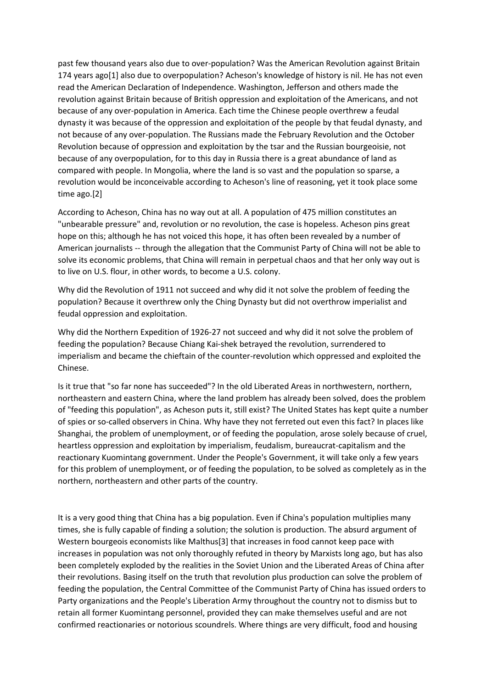past few thousand years also due to over-population? Was the American Revolution against Britain 174 years ago[1] also due to overpopulation? Acheson's knowledge of history is nil. He has not even read the American Declaration of Independence. Washington, Jefferson and others made the revolution against Britain because of British oppression and exploitation of the Americans, and not because of any over-population in America. Each time the Chinese people overthrew a feudal dynasty it was because of the oppression and exploitation of the people by that feudal dynasty, and not because of any over-population. The Russians made the February Revolution and the October Revolution because of oppression and exploitation by the tsar and the Russian bourgeoisie, not because of any overpopulation, for to this day in Russia there is a great abundance of land as compared with people. In Mongolia, where the land is so vast and the population so sparse, a revolution would be inconceivable according to Acheson's line of reasoning, yet it took place some time ago.[2]

According to Acheson, China has no way out at all. A population of 475 million constitutes an "unbearable pressure" and, revolution or no revolution, the case is hopeless. Acheson pins great hope on this; although he has not voiced this hope, it has often been revealed by a number of American journalists -- through the allegation that the Communist Party of China will not be able to solve its economic problems, that China will remain in perpetual chaos and that her only way out is to live on U.S. flour, in other words, to become a U.S. colony.

Why did the Revolution of 1911 not succeed and why did it not solve the problem of feeding the population? Because it overthrew only the Ching Dynasty but did not overthrow imperialist and feudal oppression and exploitation.

Why did the Northern Expedition of 1926-27 not succeed and why did it not solve the problem of feeding the population? Because Chiang Kai-shek betrayed the revolution, surrendered to imperialism and became the chieftain of the counter-revolution which oppressed and exploited the Chinese.

Is it true that "so far none has succeeded"? In the old Liberated Areas in northwestern, northern, northeastern and eastern China, where the land problem has already been solved, does the problem of "feeding this population", as Acheson puts it, still exist? The United States has kept quite a number of spies or so-called observers in China. Why have they not ferreted out even this fact? In places like Shanghai, the problem of unemployment, or of feeding the population, arose solely because of cruel, heartless oppression and exploitation by imperialism, feudalism, bureaucrat-capitalism and the reactionary Kuomintang government. Under the People's Government, it will take only a few years for this problem of unemployment, or of feeding the population, to be solved as completely as in the northern, northeastern and other parts of the country.

It is a very good thing that China has a big population. Even if China's population multiplies many times, she is fully capable of finding a solution; the solution is production. The absurd argument of Western bourgeois economists like Malthus[3] that increases in food cannot keep pace with increases in population was not only thoroughly refuted in theory by Marxists long ago, but has also been completely exploded by the realities in the Soviet Union and the Liberated Areas of China after their revolutions. Basing itself on the truth that revolution plus production can solve the problem of feeding the population, the Central Committee of the Communist Party of China has issued orders to Party organizations and the People's Liberation Army throughout the country not to dismiss but to retain all former Kuomintang personnel, provided they can make themselves useful and are not confirmed reactionaries or notorious scoundrels. Where things are very difficult, food and housing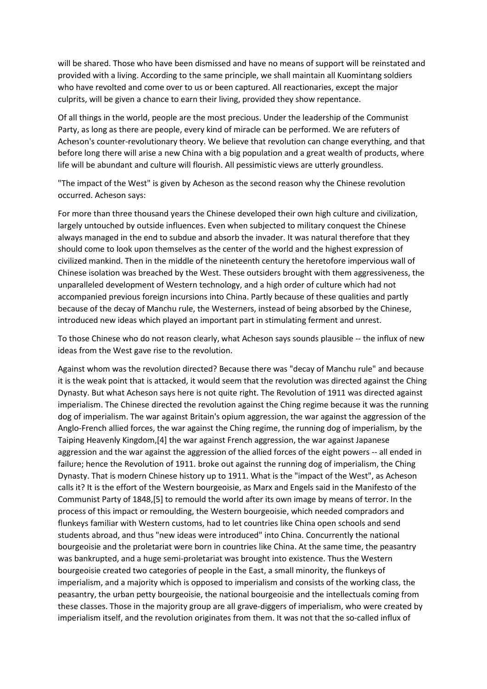will be shared. Those who have been dismissed and have no means of support will be reinstated and provided with a living. According to the same principle, we shall maintain all Kuomintang soldiers who have revolted and come over to us or been captured. All reactionaries, except the major culprits, will be given a chance to earn their living, provided they show repentance.

Of all things in the world, people are the most precious. Under the leadership of the Communist Party, as long as there are people, every kind of miracle can be performed. We are refuters of Acheson's counter-revolutionary theory. We believe that revolution can change everything, and that before long there will arise a new China with a big population and a great wealth of products, where life will be abundant and culture will flourish. All pessimistic views are utterly groundless.

"The impact of the West" is given by Acheson as the second reason why the Chinese revolution occurred. Acheson says:

For more than three thousand years the Chinese developed their own high culture and civilization, largely untouched by outside influences. Even when subjected to military conquest the Chinese always managed in the end to subdue and absorb the invader. It was natural therefore that they should come to look upon themselves as the center of the world and the highest expression of civilized mankind. Then in the middle of the nineteenth century the heretofore impervious wall of Chinese isolation was breached by the West. These outsiders brought with them aggressiveness, the unparalleled development of Western technology, and a high order of culture which had not accompanied previous foreign incursions into China. Partly because of these qualities and partly because of the decay of Manchu rule, the Westerners, instead of being absorbed by the Chinese, introduced new ideas which played an important part in stimulating ferment and unrest.

To those Chinese who do not reason clearly, what Acheson says sounds plausible -- the influx of new ideas from the West gave rise to the revolution.

Against whom was the revolution directed? Because there was "decay of Manchu rule" and because it is the weak point that is attacked, it would seem that the revolution was directed against the Ching Dynasty. But what Acheson says here is not quite right. The Revolution of 1911 was directed against imperialism. The Chinese directed the revolution against the Ching regime because it was the running dog of imperialism. The war against Britain's opium aggression, the war against the aggression of the Anglo-French allied forces, the war against the Ching regime, the running dog of imperialism, by the Taiping Heavenly Kingdom,[4] the war against French aggression, the war against Japanese aggression and the war against the aggression of the allied forces of the eight powers -- all ended in failure; hence the Revolution of 1911. broke out against the running dog of imperialism, the Ching Dynasty. That is modern Chinese history up to 1911. What is the "impact of the West", as Acheson calls it? It is the effort of the Western bourgeoisie, as Marx and Engels said in the Manifesto of the Communist Party of 1848,[5] to remould the world after its own image by means of terror. In the process of this impact or remoulding, the Western bourgeoisie, which needed compradors and flunkeys familiar with Western customs, had to let countries like China open schools and send students abroad, and thus "new ideas were introduced" into China. Concurrently the national bourgeoisie and the proletariat were born in countries like China. At the same time, the peasantry was bankrupted, and a huge semi-proletariat was brought into existence. Thus the Western bourgeoisie created two categories of people in the East, a small minority, the flunkeys of imperialism, and a majority which is opposed to imperialism and consists of the working class, the peasantry, the urban petty bourgeoisie, the national bourgeoisie and the intellectuals coming from these classes. Those in the majority group are all grave-diggers of imperialism, who were created by imperialism itself, and the revolution originates from them. It was not that the so-called influx of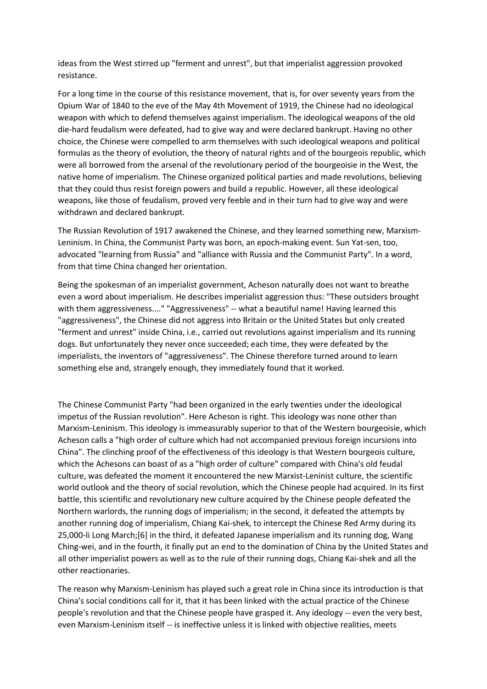ideas from the West stirred up "ferment and unrest", but that imperialist aggression provoked resistance.

For a long time in the course of this resistance movement, that is, for over seventy years from the Opium War of 1840 to the eve of the May 4th Movement of 1919, the Chinese had no ideological weapon with which to defend themselves against imperialism. The ideological weapons of the old die-hard feudalism were defeated, had to give way and were declared bankrupt. Having no other choice, the Chinese were compelled to arm themselves with such ideological weapons and political formulas as the theory of evolution, the theory of natural rights and of the bourgeois republic, which were all borrowed from the arsenal of the revolutionary period of the bourgeoisie in the West, the native home of imperialism. The Chinese organized political parties and made revolutions, believing that they could thus resist foreign powers and build a republic. However, all these ideological weapons, like those of feudalism, proved very feeble and in their turn had to give way and were withdrawn and declared bankrupt.

The Russian Revolution of 1917 awakened the Chinese, and they learned something new, Marxism-Leninism. In China, the Communist Party was born, an epoch-making event. Sun Yat-sen, too, advocated "learning from Russia" and "alliance with Russia and the Communist Party". In a word, from that time China changed her orientation.

Being the spokesman of an imperialist government, Acheson naturally does not want to breathe even a word about imperialism. He describes imperialist aggression thus: "These outsiders brought with them aggressiveness...." "Aggressiveness" -- what a beautiful name! Having learned this "aggressiveness", the Chinese did not aggress into Britain or the United States but only created "ferment and unrest" inside China, i.e., carried out revolutions against imperialism and its running dogs. But unfortunately they never once succeeded; each time, they were defeated by the imperialists, the inventors of "aggressiveness". The Chinese therefore turned around to learn something else and, strangely enough, they immediately found that it worked.

The Chinese Communist Party "had been organized in the early twenties under the ideological impetus of the Russian revolution". Here Acheson is right. This ideology was none other than Marxism-Leninism. This ideology is immeasurably superior to that of the Western bourgeoisie, which Acheson calls a "high order of culture which had not accompanied previous foreign incursions into China". The clinching proof of the effectiveness of this ideology is that Western bourgeois culture, which the Achesons can boast of as a "high order of culture" compared with China's old feudal culture, was defeated the moment it encountered the new Marxist-Leninist culture, the scientific world outlook and the theory of social revolution, which the Chinese people had acquired. In its first battle, this scientific and revolutionary new culture acquired by the Chinese people defeated the Northern warlords, the running dogs of imperialism; in the second, it defeated the attempts by another running dog of imperialism, Chiang Kai-shek, to intercept the Chinese Red Army during its 25,000-li Long March;[6] in the third, it defeated Japanese imperialism and its running dog, Wang Ching-wei, and in the fourth, it finally put an end to the domination of China by the United States and all other imperialist powers as well as to the rule of their running dogs, Chiang Kai-shek and all the other reactionaries.

The reason why Marxism-Leninism has played such a great role in China since its introduction is that China's social conditions call for it, that it has been linked with the actual practice of the Chinese people's revolution and that the Chinese people have grasped it. Any ideology -- even the very best, even Marxism-Leninism itself -- is ineffective unless it is linked with objective realities, meets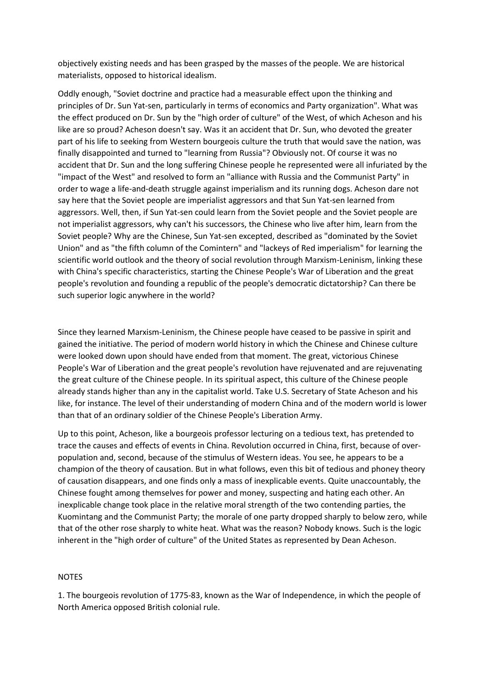objectively existing needs and has been grasped by the masses of the people. We are historical materialists, opposed to historical idealism.

Oddly enough, "Soviet doctrine and practice had a measurable effect upon the thinking and principles of Dr. Sun Yat-sen, particularly in terms of economics and Party organization". What was the effect produced on Dr. Sun by the "high order of culture" of the West, of which Acheson and his like are so proud? Acheson doesn't say. Was it an accident that Dr. Sun, who devoted the greater part of his life to seeking from Western bourgeois culture the truth that would save the nation, was finally disappointed and turned to "learning from Russia"? Obviously not. Of course it was no accident that Dr. Sun and the long suffering Chinese people he represented were all infuriated by the "impact of the West" and resolved to form an "alliance with Russia and the Communist Party" in order to wage a life-and-death struggle against imperialism and its running dogs. Acheson dare not say here that the Soviet people are imperialist aggressors and that Sun Yat-sen learned from aggressors. Well, then, if Sun Yat-sen could learn from the Soviet people and the Soviet people are not imperialist aggressors, why can't his successors, the Chinese who live after him, learn from the Soviet people? Why are the Chinese, Sun Yat-sen excepted, described as "dominated by the Soviet Union" and as "the fifth column of the Comintern" and "lackeys of Red imperialism" for learning the scientific world outlook and the theory of social revolution through Marxism-Leninism, linking these with China's specific characteristics, starting the Chinese People's War of Liberation and the great people's revolution and founding a republic of the people's democratic dictatorship? Can there be such superior logic anywhere in the world?

Since they learned Marxism-Leninism, the Chinese people have ceased to be passive in spirit and gained the initiative. The period of modern world history in which the Chinese and Chinese culture were looked down upon should have ended from that moment. The great, victorious Chinese People's War of Liberation and the great people's revolution have rejuvenated and are rejuvenating the great culture of the Chinese people. In its spiritual aspect, this culture of the Chinese people already stands higher than any in the capitalist world. Take U.S. Secretary of State Acheson and his like, for instance. The level of their understanding of modern China and of the modern world is lower than that of an ordinary soldier of the Chinese People's Liberation Army.

Up to this point, Acheson, like a bourgeois professor lecturing on a tedious text, has pretended to trace the causes and effects of events in China. Revolution occurred in China, first, because of overpopulation and, second, because of the stimulus of Western ideas. You see, he appears to be a champion of the theory of causation. But in what follows, even this bit of tedious and phoney theory of causation disappears, and one finds only a mass of inexplicable events. Quite unaccountably, the Chinese fought among themselves for power and money, suspecting and hating each other. An inexplicable change took place in the relative moral strength of the two contending parties, the Kuomintang and the Communist Party; the morale of one party dropped sharply to below zero, while that of the other rose sharply to white heat. What was the reason? Nobody knows. Such is the logic inherent in the "high order of culture" of the United States as represented by Dean Acheson.

## NOTES

1. The bourgeois revolution of 1775-83, known as the War of Independence, in which the people of North America opposed British colonial rule.